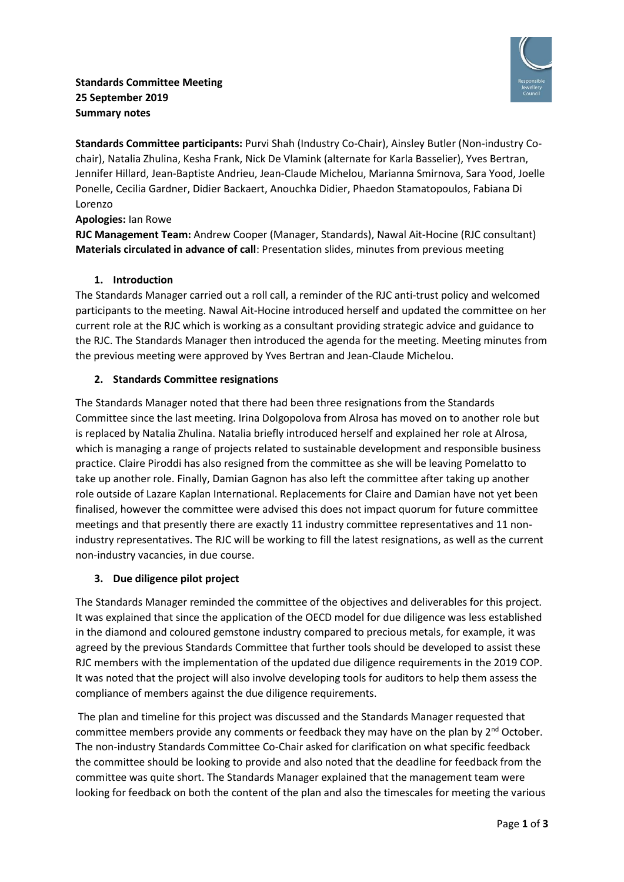



**Standards Committee participants:** Purvi Shah (Industry Co-Chair), Ainsley Butler (Non-industry Cochair), Natalia Zhulina, Kesha Frank, Nick De Vlamink (alternate for Karla Basselier), Yves Bertran, Jennifer Hillard, Jean-Baptiste Andrieu, Jean-Claude Michelou, Marianna Smirnova, Sara Yood, Joelle Ponelle, Cecilia Gardner, Didier Backaert, Anouchka Didier, Phaedon Stamatopoulos, Fabiana Di Lorenzo

#### **Apologies:** Ian Rowe

**RJC Management Team:** Andrew Cooper (Manager, Standards), Nawal Ait-Hocine (RJC consultant) **Materials circulated in advance of call**: Presentation slides, minutes from previous meeting

### **1. Introduction**

The Standards Manager carried out a roll call, a reminder of the RJC anti-trust policy and welcomed participants to the meeting. Nawal Ait-Hocine introduced herself and updated the committee on her current role at the RJC which is working as a consultant providing strategic advice and guidance to the RJC. The Standards Manager then introduced the agenda for the meeting. Meeting minutes from the previous meeting were approved by Yves Bertran and Jean-Claude Michelou.

# **2. Standards Committee resignations**

The Standards Manager noted that there had been three resignations from the Standards Committee since the last meeting. Irina Dolgopolova from Alrosa has moved on to another role but is replaced by Natalia Zhulina. Natalia briefly introduced herself and explained her role at Alrosa, which is managing a range of projects related to sustainable development and responsible business practice. Claire Piroddi has also resigned from the committee as she will be leaving Pomelatto to take up another role. Finally, Damian Gagnon has also left the committee after taking up another role outside of Lazare Kaplan International. Replacements for Claire and Damian have not yet been finalised, however the committee were advised this does not impact quorum for future committee meetings and that presently there are exactly 11 industry committee representatives and 11 nonindustry representatives. The RJC will be working to fill the latest resignations, as well as the current non-industry vacancies, in due course.

#### **3. Due diligence pilot project**

The Standards Manager reminded the committee of the objectives and deliverables for this project. It was explained that since the application of the OECD model for due diligence was less established in the diamond and coloured gemstone industry compared to precious metals, for example, it was agreed by the previous Standards Committee that further tools should be developed to assist these RJC members with the implementation of the updated due diligence requirements in the 2019 COP. It was noted that the project will also involve developing tools for auditors to help them assess the compliance of members against the due diligence requirements.

The plan and timeline for this project was discussed and the Standards Manager requested that committee members provide any comments or feedback they may have on the plan by 2<sup>nd</sup> October. The non-industry Standards Committee Co-Chair asked for clarification on what specific feedback the committee should be looking to provide and also noted that the deadline for feedback from the committee was quite short. The Standards Manager explained that the management team were looking for feedback on both the content of the plan and also the timescales for meeting the various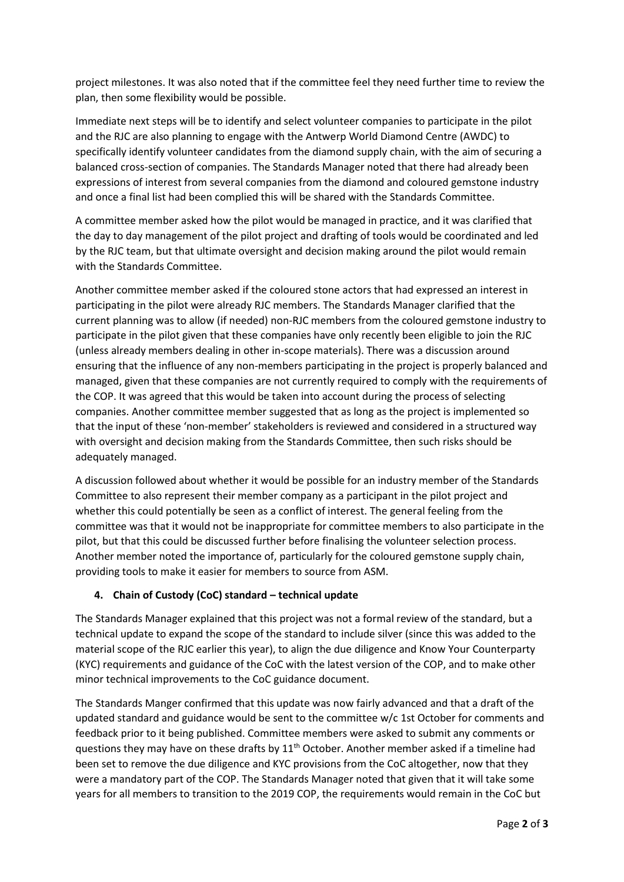project milestones. It was also noted that if the committee feel they need further time to review the plan, then some flexibility would be possible.

Immediate next steps will be to identify and select volunteer companies to participate in the pilot and the RJC are also planning to engage with the Antwerp World Diamond Centre (AWDC) to specifically identify volunteer candidates from the diamond supply chain, with the aim of securing a balanced cross-section of companies. The Standards Manager noted that there had already been expressions of interest from several companies from the diamond and coloured gemstone industry and once a final list had been complied this will be shared with the Standards Committee.

A committee member asked how the pilot would be managed in practice, and it was clarified that the day to day management of the pilot project and drafting of tools would be coordinated and led by the RJC team, but that ultimate oversight and decision making around the pilot would remain with the Standards Committee.

Another committee member asked if the coloured stone actors that had expressed an interest in participating in the pilot were already RJC members. The Standards Manager clarified that the current planning was to allow (if needed) non-RJC members from the coloured gemstone industry to participate in the pilot given that these companies have only recently been eligible to join the RJC (unless already members dealing in other in-scope materials). There was a discussion around ensuring that the influence of any non-members participating in the project is properly balanced and managed, given that these companies are not currently required to comply with the requirements of the COP. It was agreed that this would be taken into account during the process of selecting companies. Another committee member suggested that as long as the project is implemented so that the input of these 'non-member' stakeholders is reviewed and considered in a structured way with oversight and decision making from the Standards Committee, then such risks should be adequately managed.

A discussion followed about whether it would be possible for an industry member of the Standards Committee to also represent their member company as a participant in the pilot project and whether this could potentially be seen as a conflict of interest. The general feeling from the committee was that it would not be inappropriate for committee members to also participate in the pilot, but that this could be discussed further before finalising the volunteer selection process. Another member noted the importance of, particularly for the coloured gemstone supply chain, providing tools to make it easier for members to source from ASM.

# **4. Chain of Custody (CoC) standard – technical update**

The Standards Manager explained that this project was not a formal review of the standard, but a technical update to expand the scope of the standard to include silver (since this was added to the material scope of the RJC earlier this year), to align the due diligence and Know Your Counterparty (KYC) requirements and guidance of the CoC with the latest version of the COP, and to make other minor technical improvements to the CoC guidance document.

The Standards Manger confirmed that this update was now fairly advanced and that a draft of the updated standard and guidance would be sent to the committee w/c 1st October for comments and feedback prior to it being published. Committee members were asked to submit any comments or questions they may have on these drafts by  $11<sup>th</sup>$  October. Another member asked if a timeline had been set to remove the due diligence and KYC provisions from the CoC altogether, now that they were a mandatory part of the COP. The Standards Manager noted that given that it will take some years for all members to transition to the 2019 COP, the requirements would remain in the CoC but